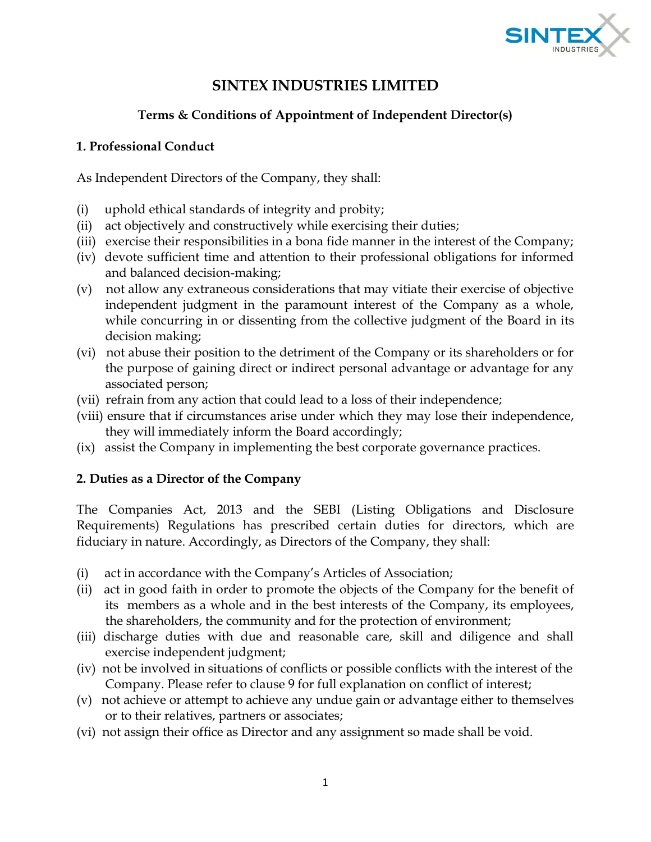

# **SINTEX INDUSTRIES LIMITED**

# **Terms & Conditions of Appointment of Independent Director(s)**

# **1. Professional Conduct**

As Independent Directors of the Company, they shall:

- (i) uphold ethical standards of integrity and probity;
- (ii) act objectively and constructively while exercising their duties;
- (iii) exercise their responsibilities in a bona fide manner in the interest of the Company;
- (iv) devote sufficient time and attention to their professional obligations for informed and balanced decision-making;
- (v) not allow any extraneous considerations that may vitiate their exercise of objective independent judgment in the paramount interest of the Company as a whole, while concurring in or dissenting from the collective judgment of the Board in its decision making;
- (vi) not abuse their position to the detriment of the Company or its shareholders or for the purpose of gaining direct or indirect personal advantage or advantage for any associated person;
- (vii) refrain from any action that could lead to a loss of their independence;
- (viii) ensure that if circumstances arise under which they may lose their independence, they will immediately inform the Board accordingly;
- (ix) assist the Company in implementing the best corporate governance practices.

# **2. Duties as a Director of the Company**

The Companies Act, 2013 and the SEBI (Listing Obligations and Disclosure Requirements) Regulations has prescribed certain duties for directors, which are fiduciary in nature. Accordingly, as Directors of the Company, they shall:

- (i) act in accordance with the Company's Articles of Association;
- (ii) act in good faith in order to promote the objects of the Company for the benefit of its members as a whole and in the best interests of the Company, its employees, the shareholders, the community and for the protection of environment;
- (iii) discharge duties with due and reasonable care, skill and diligence and shall exercise independent judgment;
- (iv) not be involved in situations of conflicts or possible conflicts with the interest of the Company. Please refer to clause 9 for full explanation on conflict of interest;
- (v) not achieve or attempt to achieve any undue gain or advantage either to themselves or to their relatives, partners or associates;
- (vi) not assign their office as Director and any assignment so made shall be void.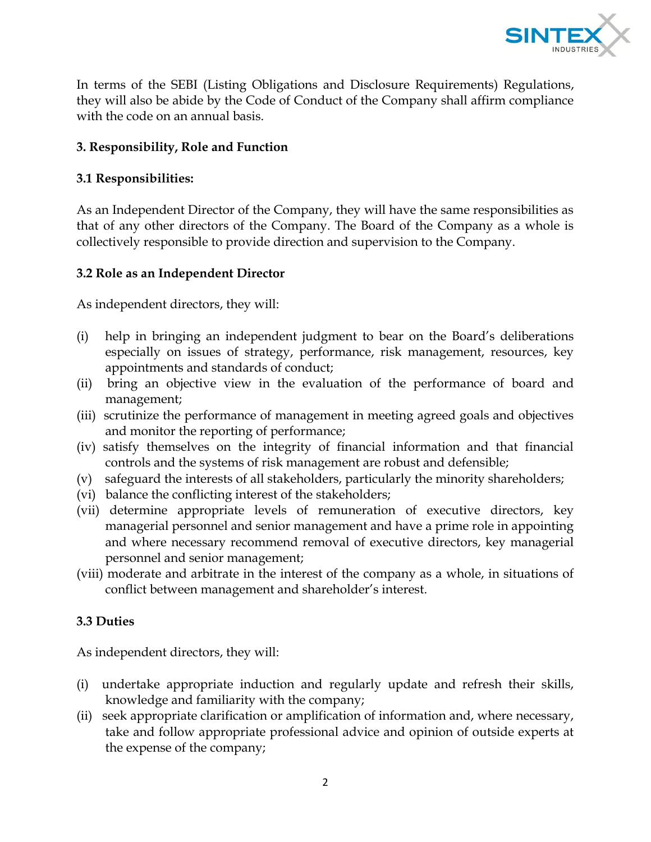

In terms of the SEBI (Listing Obligations and Disclosure Requirements) Regulations, they will also be abide by the Code of Conduct of the Company shall affirm compliance with the code on an annual basis.

### **3. Responsibility, Role and Function**

# **3.1 Responsibilities:**

As an Independent Director of the Company, they will have the same responsibilities as that of any other directors of the Company. The Board of the Company as a whole is collectively responsible to provide direction and supervision to the Company.

#### **3.2 Role as an Independent Director**

As independent directors, they will:

- (i) help in bringing an independent judgment to bear on the Board's deliberations especially on issues of strategy, performance, risk management, resources, key appointments and standards of conduct;
- (ii) bring an objective view in the evaluation of the performance of board and management;
- (iii) scrutinize the performance of management in meeting agreed goals and objectives and monitor the reporting of performance;
- (iv) satisfy themselves on the integrity of financial information and that financial controls and the systems of risk management are robust and defensible;
- (v) safeguard the interests of all stakeholders, particularly the minority shareholders;
- (vi) balance the conflicting interest of the stakeholders;
- (vii) determine appropriate levels of remuneration of executive directors, key managerial personnel and senior management and have a prime role in appointing and where necessary recommend removal of executive directors, key managerial personnel and senior management;
- (viii) moderate and arbitrate in the interest of the company as a whole, in situations of conflict between management and shareholder's interest.

# **3.3 Duties**

As independent directors, they will:

- (i) undertake appropriate induction and regularly update and refresh their skills, knowledge and familiarity with the company;
- (ii) seek appropriate clarification or amplification of information and, where necessary, take and follow appropriate professional advice and opinion of outside experts at the expense of the company;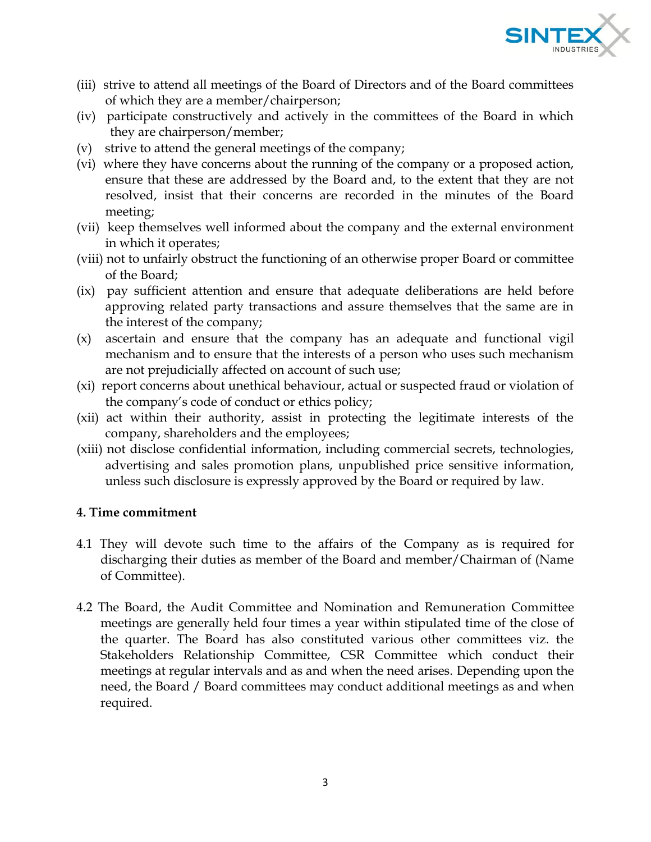

- (iii) strive to attend all meetings of the Board of Directors and of the Board committees of which they are a member/chairperson;
- (iv) participate constructively and actively in the committees of the Board in which they are chairperson/member;
- (v) strive to attend the general meetings of the company;
- (vi) where they have concerns about the running of the company or a proposed action, ensure that these are addressed by the Board and, to the extent that they are not resolved, insist that their concerns are recorded in the minutes of the Board meeting;
- (vii) keep themselves well informed about the company and the external environment in which it operates;
- (viii) not to unfairly obstruct the functioning of an otherwise proper Board or committee of the Board;
- (ix) pay sufficient attention and ensure that adequate deliberations are held before approving related party transactions and assure themselves that the same are in the interest of the company;
- (x) ascertain and ensure that the company has an adequate and functional vigil mechanism and to ensure that the interests of a person who uses such mechanism are not prejudicially affected on account of such use;
- (xi) report concerns about unethical behaviour, actual or suspected fraud or violation of the company's code of conduct or ethics policy;
- (xii) act within their authority, assist in protecting the legitimate interests of the company, shareholders and the employees;
- (xiii) not disclose confidential information, including commercial secrets, technologies, advertising and sales promotion plans, unpublished price sensitive information, unless such disclosure is expressly approved by the Board or required by law.

#### **4. Time commitment**

- 4.1 They will devote such time to the affairs of the Company as is required for discharging their duties as member of the Board and member/Chairman of (Name of Committee).
- 4.2 The Board, the Audit Committee and Nomination and Remuneration Committee meetings are generally held four times a year within stipulated time of the close of the quarter. The Board has also constituted various other committees viz. the Stakeholders Relationship Committee, CSR Committee which conduct their meetings at regular intervals and as and when the need arises. Depending upon the need, the Board / Board committees may conduct additional meetings as and when required.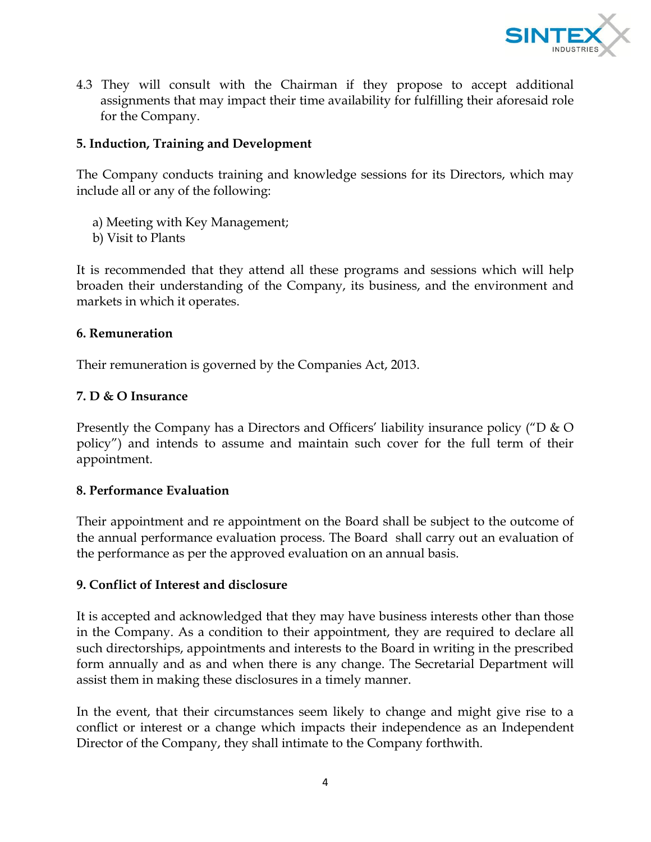

4.3 They will consult with the Chairman if they propose to accept additional assignments that may impact their time availability for fulfilling their aforesaid role for the Company.

#### **5. Induction, Training and Development**

The Company conducts training and knowledge sessions for its Directors, which may include all or any of the following:

- a) Meeting with Key Management;
- b) Visit to Plants

It is recommended that they attend all these programs and sessions which will help broaden their understanding of the Company, its business, and the environment and markets in which it operates.

#### **6. Remuneration**

Their remuneration is governed by the Companies Act, 2013.

### **7. D & O Insurance**

Presently the Company has a Directors and Officers' liability insurance policy ("D & O policy") and intends to assume and maintain such cover for the full term of their appointment.

#### **8. Performance Evaluation**

Their appointment and re appointment on the Board shall be subject to the outcome of the annual performance evaluation process. The Board shall carry out an evaluation of the performance as per the approved evaluation on an annual basis.

#### **9. Conflict of Interest and disclosure**

It is accepted and acknowledged that they may have business interests other than those in the Company. As a condition to their appointment, they are required to declare all such directorships, appointments and interests to the Board in writing in the prescribed form annually and as and when there is any change. The Secretarial Department will assist them in making these disclosures in a timely manner.

In the event, that their circumstances seem likely to change and might give rise to a conflict or interest or a change which impacts their independence as an Independent Director of the Company, they shall intimate to the Company forthwith.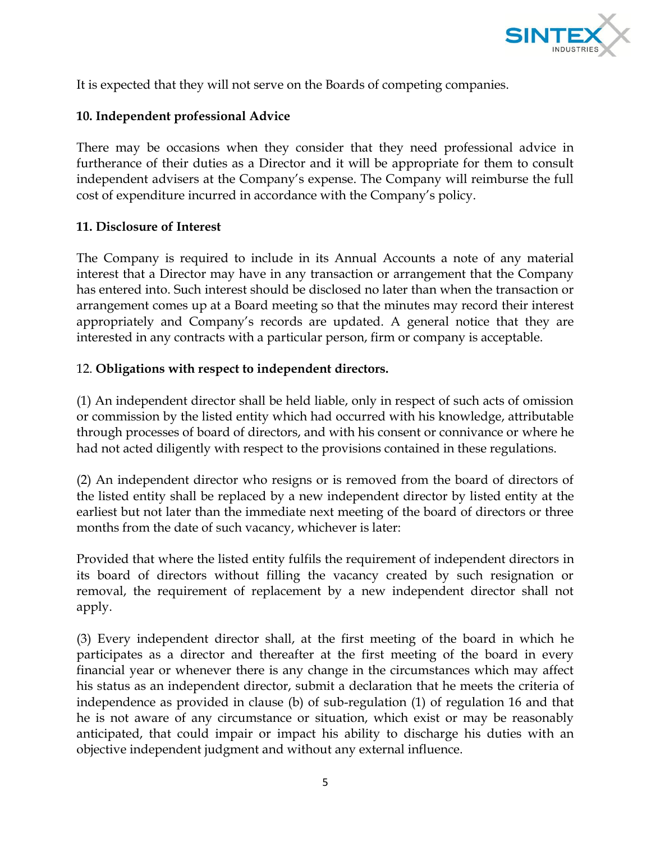

It is expected that they will not serve on the Boards of competing companies.

# **10. Independent professional Advice**

There may be occasions when they consider that they need professional advice in furtherance of their duties as a Director and it will be appropriate for them to consult independent advisers at the Company's expense. The Company will reimburse the full cost of expenditure incurred in accordance with the Company's policy.

#### **11. Disclosure of Interest**

The Company is required to include in its Annual Accounts a note of any material interest that a Director may have in any transaction or arrangement that the Company has entered into. Such interest should be disclosed no later than when the transaction or arrangement comes up at a Board meeting so that the minutes may record their interest appropriately and Company's records are updated. A general notice that they are interested in any contracts with a particular person, firm or company is acceptable.

### 12. **Obligations with respect to independent directors.**

(1) An independent director shall be held liable, only in respect of such acts of omission or commission by the listed entity which had occurred with his knowledge, attributable through processes of board of directors, and with his consent or connivance or where he had not acted diligently with respect to the provisions contained in these regulations.

(2) An independent director who resigns or is removed from the board of directors of the listed entity shall be replaced by a new independent director by listed entity at the earliest but not later than the immediate next meeting of the board of directors or three months from the date of such vacancy, whichever is later:

Provided that where the listed entity fulfils the requirement of independent directors in its board of directors without filling the vacancy created by such resignation or removal, the requirement of replacement by a new independent director shall not apply.

(3) Every independent director shall, at the first meeting of the board in which he participates as a director and thereafter at the first meeting of the board in every financial year or whenever there is any change in the circumstances which may affect his status as an independent director, submit a declaration that he meets the criteria of independence as provided in clause (b) of sub-regulation (1) of regulation 16 and that he is not aware of any circumstance or situation, which exist or may be reasonably anticipated, that could impair or impact his ability to discharge his duties with an objective independent judgment and without any external influence.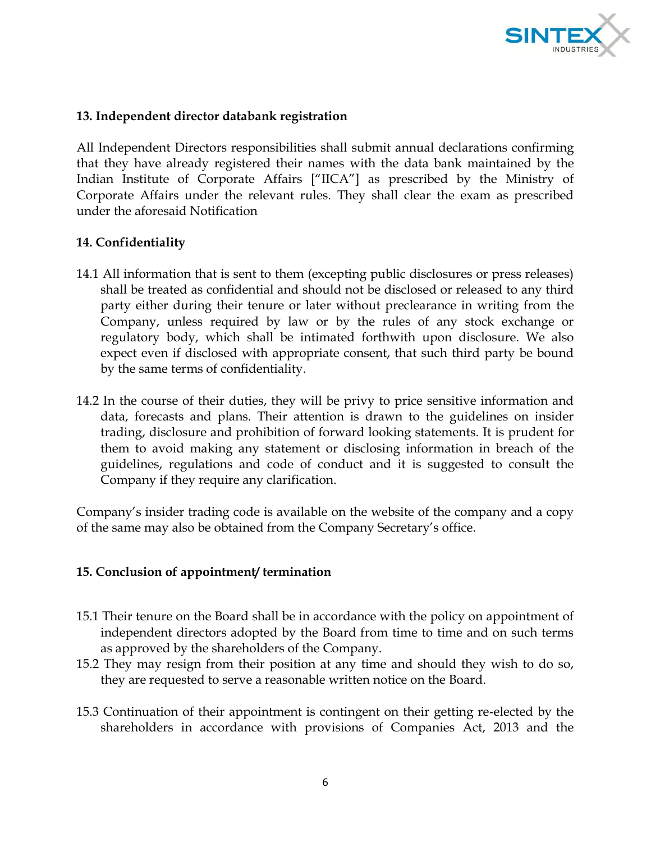

#### **13. Independent director databank registration**

All Independent Directors responsibilities shall submit annual declarations confirming that they have already registered their names with the data bank maintained by the Indian Institute of Corporate Affairs ["IICA"] as prescribed by the Ministry of Corporate Affairs under the relevant rules. They shall clear the exam as prescribed under the aforesaid Notification

#### **14. Confidentiality**

- 14.1 All information that is sent to them (excepting public disclosures or press releases) shall be treated as confidential and should not be disclosed or released to any third party either during their tenure or later without preclearance in writing from the Company, unless required by law or by the rules of any stock exchange or regulatory body, which shall be intimated forthwith upon disclosure. We also expect even if disclosed with appropriate consent, that such third party be bound by the same terms of confidentiality.
- 14.2 In the course of their duties, they will be privy to price sensitive information and data, forecasts and plans. Their attention is drawn to the guidelines on insider trading, disclosure and prohibition of forward looking statements. It is prudent for them to avoid making any statement or disclosing information in breach of the guidelines, regulations and code of conduct and it is suggested to consult the Company if they require any clarification.

Company's insider trading code is available on the website of the company and a copy of the same may also be obtained from the Company Secretary's office.

#### **15. Conclusion of appointment/ termination**

- 15.1 Their tenure on the Board shall be in accordance with the policy on appointment of independent directors adopted by the Board from time to time and on such terms as approved by the shareholders of the Company.
- 15.2 They may resign from their position at any time and should they wish to do so, they are requested to serve a reasonable written notice on the Board.
- 15.3 Continuation of their appointment is contingent on their getting re-elected by the shareholders in accordance with provisions of Companies Act, 2013 and the